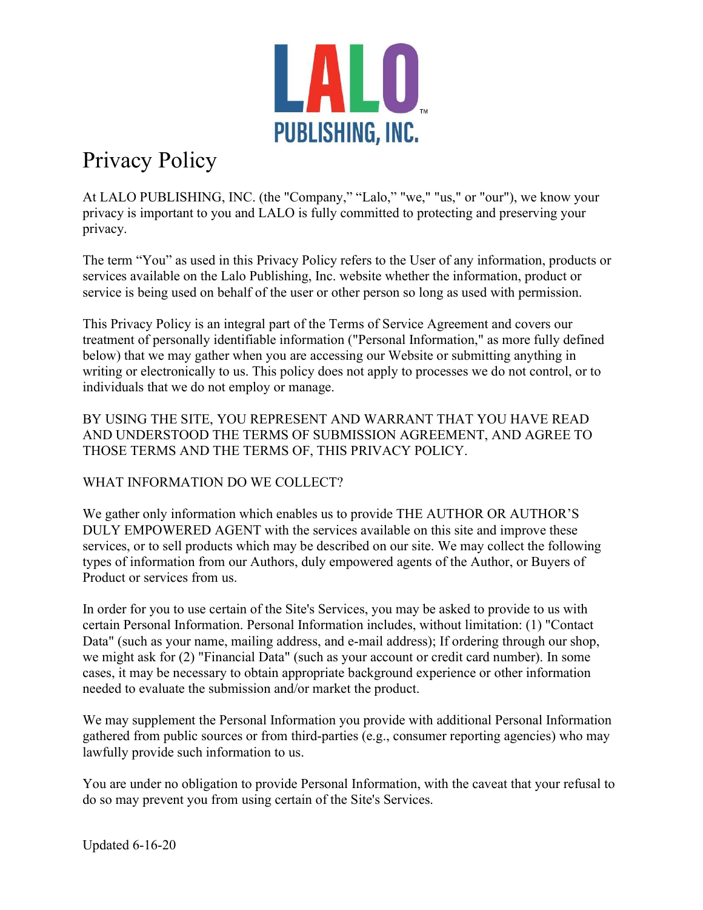

# Privacy Policy

At LALO PUBLISHING, INC. (the "Company," "Lalo," "we," "us," or "our"), we know your privacy is important to you and LALO is fully committed to protecting and preserving your privacy.

The term "You" as used in this Privacy Policy refers to the User of any information, products or services available on the Lalo Publishing, Inc. website whether the information, product or service is being used on behalf of the user or other person so long as used with permission.

This Privacy Policy is an integral part of the Terms of Service Agreement and covers our treatment of personally identifiable information ("Personal Information," as more fully defined below) that we may gather when you are accessing our Website or submitting anything in writing or electronically to us. This policy does not apply to processes we do not control, or to individuals that we do not employ or manage.

BY USING THE SITE, YOU REPRESENT AND WARRANT THAT YOU HAVE READ AND UNDERSTOOD THE TERMS OF SUBMISSION AGREEMENT, AND AGREE TO THOSE TERMS AND THE TERMS OF, THIS PRIVACY POLICY.

# WHAT INFORMATION DO WE COLLECT?

We gather only information which enables us to provide THE AUTHOR OR AUTHOR'S DULY EMPOWERED AGENT with the services available on this site and improve these services, or to sell products which may be described on our site. We may collect the following types of information from our Authors, duly empowered agents of the Author, or Buyers of Product or services from us.

In order for you to use certain of the Site's Services, you may be asked to provide to us with certain Personal Information. Personal Information includes, without limitation: (1) "Contact Data" (such as your name, mailing address, and e-mail address); If ordering through our shop, we might ask for (2) "Financial Data" (such as your account or credit card number). In some cases, it may be necessary to obtain appropriate background experience or other information needed to evaluate the submission and/or market the product.

We may supplement the Personal Information you provide with additional Personal Information gathered from public sources or from third-parties (e.g., consumer reporting agencies) who may lawfully provide such information to us.

You are under no obligation to provide Personal Information, with the caveat that your refusal to do so may prevent you from using certain of the Site's Services.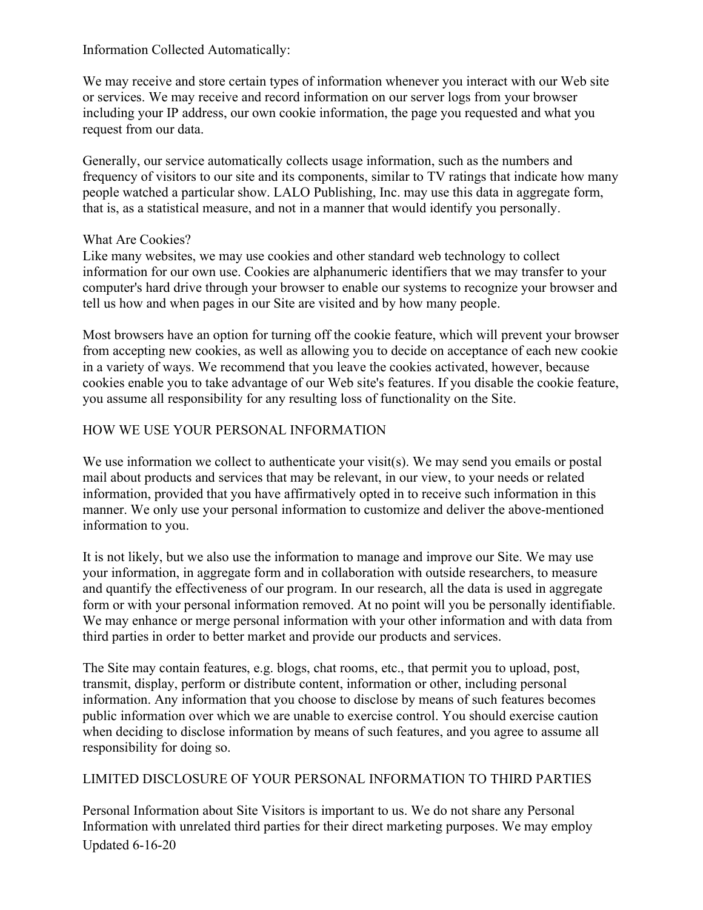#### Information Collected Automatically:

We may receive and store certain types of information whenever you interact with our Web site or services. We may receive and record information on our server logs from your browser including your IP address, our own cookie information, the page you requested and what you request from our data.

Generally, our service automatically collects usage information, such as the numbers and frequency of visitors to our site and its components, similar to TV ratings that indicate how many people watched a particular show. LALO Publishing, Inc. may use this data in aggregate form, that is, as a statistical measure, and not in a manner that would identify you personally.

#### What Are Cookies?

Like many websites, we may use cookies and other standard web technology to collect information for our own use. Cookies are alphanumeric identifiers that we may transfer to your computer's hard drive through your browser to enable our systems to recognize your browser and tell us how and when pages in our Site are visited and by how many people.

Most browsers have an option for turning off the cookie feature, which will prevent your browser from accepting new cookies, as well as allowing you to decide on acceptance of each new cookie in a variety of ways. We recommend that you leave the cookies activated, however, because cookies enable you to take advantage of our Web site's features. If you disable the cookie feature, you assume all responsibility for any resulting loss of functionality on the Site.

# HOW WE USE YOUR PERSONAL INFORMATION

We use information we collect to authenticate your visit(s). We may send you emails or postal mail about products and services that may be relevant, in our view, to your needs or related information, provided that you have affirmatively opted in to receive such information in this manner. We only use your personal information to customize and deliver the above-mentioned information to you.

It is not likely, but we also use the information to manage and improve our Site. We may use your information, in aggregate form and in collaboration with outside researchers, to measure and quantify the effectiveness of our program. In our research, all the data is used in aggregate form or with your personal information removed. At no point will you be personally identifiable. We may enhance or merge personal information with your other information and with data from third parties in order to better market and provide our products and services.

The Site may contain features, e.g. blogs, chat rooms, etc., that permit you to upload, post, transmit, display, perform or distribute content, information or other, including personal information. Any information that you choose to disclose by means of such features becomes public information over which we are unable to exercise control. You should exercise caution when deciding to disclose information by means of such features, and you agree to assume all responsibility for doing so.

## LIMITED DISCLOSURE OF YOUR PERSONAL INFORMATION TO THIRD PARTIES

Updated 6-16-20 Personal Information about Site Visitors is important to us. We do not share any Personal Information with unrelated third parties for their direct marketing purposes. We may employ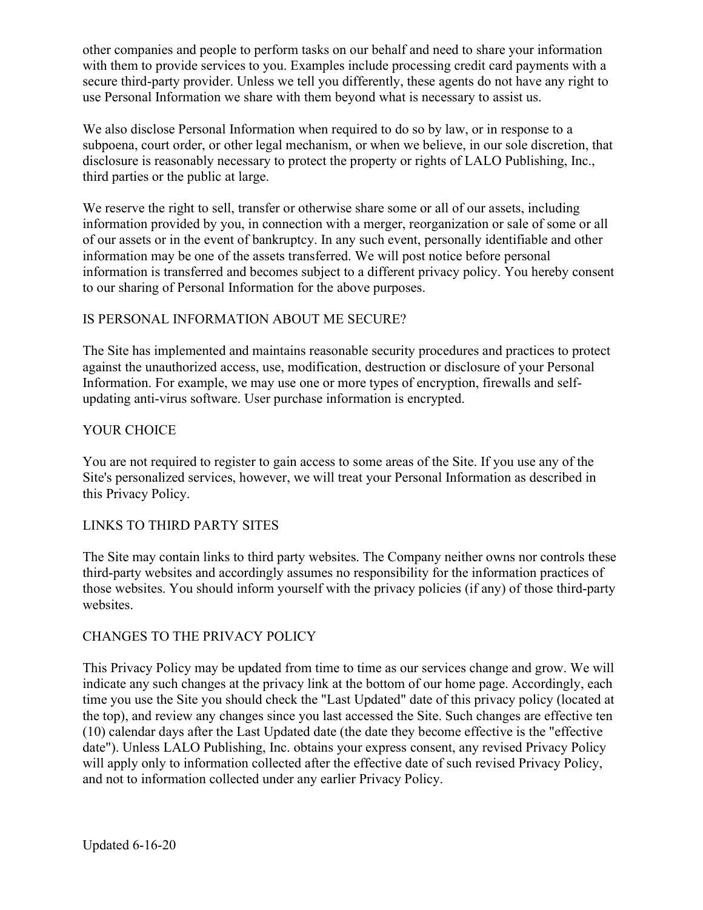other companies and people to perform tasks on our behalf and need to share your information with them to provide services to you. Examples include processing credit card payments with a secure third-party provider. Unless we tell you differently, these agents do not have any right to use Personal Information we share with them beyond what is necessary to assist us.

We also disclose Personal Information when required to do so by law, or in response to a subpoena, court order, or other legal mechanism, or when we believe, in our sole discretion, that disclosure is reasonably necessary to protect the property or rights of LALO Publishing, Inc., third parties or the public at large.

We reserve the right to sell, transfer or otherwise share some or all of our assets, including information provided by you, in connection with a merger, reorganization or sale of some or all of our assets or in the event of bankruptcy. In any such event, personally identifiable and other information may be one of the assets transferred. We will post notice before personal information is transferred and becomes subject to a different privacy policy. You hereby consent to our sharing of Personal Information for the above purposes.

## IS PERSONAL INFORMATION ABOUT ME SECURE?

The Site has implemented and maintains reasonable security procedures and practices to protect against the unauthorized access, use, modification, destruction or disclosure of your Personal Information. For example, we may use one or more types of encryption, firewalls and selfupdating anti-virus software. User purchase information is encrypted.

#### YOUR CHOICE

You are not required to register to gain access to some areas of the Site. If you use any of the Site's personalized services, however, we will treat your Personal Information as described in this Privacy Policy.

## LINKS TO THIRD PARTY SITES

The Site may contain links to third party websites. The Company neither owns nor controls these third-party websites and accordingly assumes no responsibility for the information practices of those websites. You should inform yourself with the privacy policies (if any) of those third-party websites.

#### CHANGES TO THE PRIVACY POLICY

This Privacy Policy may be updated from time to time as our services change and grow. We will indicate any such changes at the privacy link at the bottom of our home page. Accordingly, each time you use the Site you should check the "Last Updated" date of this privacy policy (located at the top), and review any changes since you last accessed the Site. Such changes are effective ten (10) calendar days after the Last Updated date (the date they become effective is the "effective date"). Unless LALO Publishing, Inc. obtains your express consent, any revised Privacy Policy will apply only to information collected after the effective date of such revised Privacy Policy, and not to information collected under any earlier Privacy Policy.